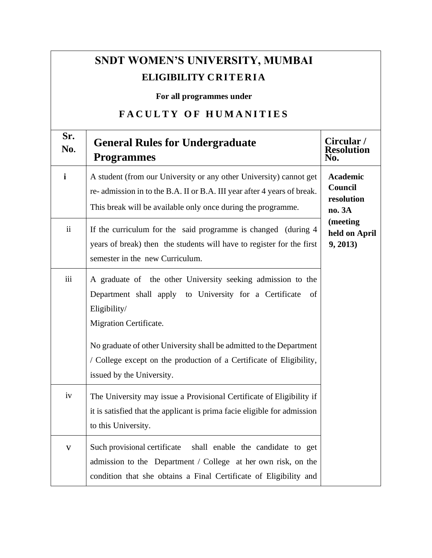| <b>SNDT WOMEN'S UNIVERSITY, MUMBAI</b><br>ELIGIBILITY CRITERIA<br>For all programmes under |                                                                                                                                                                                                               |                                                    |  |  |
|--------------------------------------------------------------------------------------------|---------------------------------------------------------------------------------------------------------------------------------------------------------------------------------------------------------------|----------------------------------------------------|--|--|
|                                                                                            | <b>FACULTY OF HUMANITIES</b>                                                                                                                                                                                  |                                                    |  |  |
| Sr.<br>No.                                                                                 | <b>General Rules for Undergraduate</b><br><b>Programmes</b>                                                                                                                                                   | Circular /<br><b>Resolution</b><br>No.             |  |  |
| $\mathbf{i}$                                                                               | A student (from our University or any other University) cannot get<br>re-admission in to the B.A. II or B.A. III year after 4 years of break.<br>This break will be available only once during the programme. | <b>Academic</b><br>Council<br>resolution<br>no. 3A |  |  |
| $\ddot{\mathbf{i}}$                                                                        | If the curriculum for the said programme is changed (during 4<br>years of break) then the students will have to register for the first<br>semester in the new Curriculum.                                     | (meeting<br>held on April<br>9, 2013)              |  |  |
| iii                                                                                        | A graduate of the other University seeking admission to the<br>Department shall apply to University for a Certificate<br>of<br>Eligibility/<br>Migration Certificate.                                         |                                                    |  |  |
|                                                                                            | No graduate of other University shall be admitted to the Department<br>/ College except on the production of a Certificate of Eligibility,<br>issued by the University.                                       |                                                    |  |  |
| iv                                                                                         | The University may issue a Provisional Certificate of Eligibility if<br>it is satisfied that the applicant is prima facie eligible for admission<br>to this University.                                       |                                                    |  |  |
| $\mathbf V$                                                                                | Such provisional certificate<br>shall enable the candidate to get<br>admission to the Department / College at her own risk, on the<br>condition that she obtains a Final Certificate of Eligibility and       |                                                    |  |  |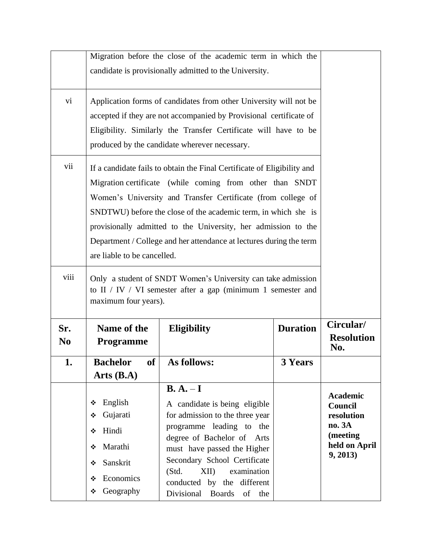|                       | Migration before the close of the academic term in which the<br>candidate is provisionally admitted to the University.                                                                                                                                                                                                                                                                                                                        |                                                                                                                                                                                                                                                                                                |                 |                                                                                             |
|-----------------------|-----------------------------------------------------------------------------------------------------------------------------------------------------------------------------------------------------------------------------------------------------------------------------------------------------------------------------------------------------------------------------------------------------------------------------------------------|------------------------------------------------------------------------------------------------------------------------------------------------------------------------------------------------------------------------------------------------------------------------------------------------|-----------------|---------------------------------------------------------------------------------------------|
| $\overline{vi}$       | Application forms of candidates from other University will not be<br>accepted if they are not accompanied by Provisional certificate of<br>Eligibility. Similarly the Transfer Certificate will have to be<br>produced by the candidate wherever necessary.                                                                                                                                                                                   |                                                                                                                                                                                                                                                                                                |                 |                                                                                             |
| vii                   | If a candidate fails to obtain the Final Certificate of Eligibility and<br>Migration certificate (while coming from other than SNDT<br>Women's University and Transfer Certificate (from college of<br>SNDTWU) before the close of the academic term, in which she is<br>provisionally admitted to the University, her admission to the<br>Department / College and her attendance at lectures during the term<br>are liable to be cancelled. |                                                                                                                                                                                                                                                                                                |                 |                                                                                             |
| viii                  | Only a student of SNDT Women's University can take admission<br>to II $/$ IV $/$ VI semester after a gap (minimum 1 semester and<br>maximum four years).                                                                                                                                                                                                                                                                                      |                                                                                                                                                                                                                                                                                                |                 |                                                                                             |
| Sr.<br>N <sub>0</sub> | Name of the<br><b>Programme</b>                                                                                                                                                                                                                                                                                                                                                                                                               | <b>Eligibility</b>                                                                                                                                                                                                                                                                             | <b>Duration</b> | Circular/<br><b>Resolution</b><br>No.                                                       |
| $\mathbf{1}$          | of<br><b>Bachelor</b><br>Arts(B.A)                                                                                                                                                                                                                                                                                                                                                                                                            | As follows:                                                                                                                                                                                                                                                                                    | <b>3 Years</b>  |                                                                                             |
|                       | English<br>❖<br>Gujarati<br>❖<br>Hindi<br>❖<br>Marathi<br>❖<br>Sanskrit<br>❖<br>Economics<br>❖                                                                                                                                                                                                                                                                                                                                                | $\mathbf{B}.\mathbf{A}.\mathbf{-I}$<br>A candidate is being eligible<br>for admission to the three year<br>programme leading to the<br>degree of Bachelor of Arts<br>must have passed the Higher<br>Secondary School Certificate<br>XII)<br>examination<br>(Std.<br>conducted by the different |                 | <b>Academic</b><br>Council<br>resolution<br>no. 3A<br>(meeting<br>held on April<br>9, 2013) |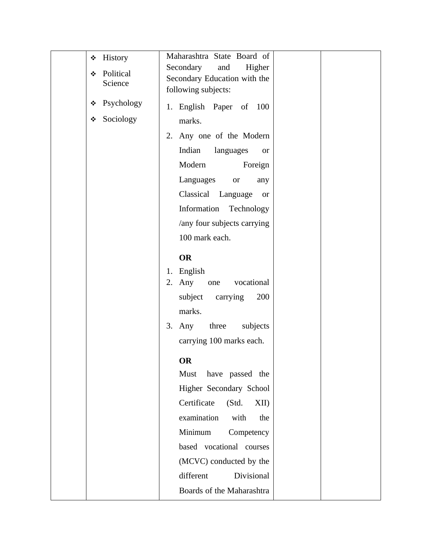| History<br>❖<br>Political<br>❖<br>Science | Maharashtra State Board of<br>Secondary<br>Higher<br>and<br>Secondary Education with the<br>following subjects: |
|-------------------------------------------|-----------------------------------------------------------------------------------------------------------------|
| Psychology<br>❖                           | 1. English Paper of 100                                                                                         |
| Sociology<br>❖                            | marks.                                                                                                          |
|                                           | Any one of the Modern<br>2.                                                                                     |
|                                           | Indian<br>languages<br><b>or</b>                                                                                |
|                                           | Modern<br>Foreign                                                                                               |
|                                           | Languages<br>$\hbox{or}$<br>any                                                                                 |
|                                           | Classical<br>Language<br><b>or</b>                                                                              |
|                                           | Information<br>Technology                                                                                       |
|                                           | /any four subjects carrying                                                                                     |
|                                           | 100 mark each.                                                                                                  |
|                                           | <b>OR</b>                                                                                                       |
|                                           | English<br>1.                                                                                                   |
|                                           | Any<br>vocational<br>2.<br>one                                                                                  |
|                                           | subject<br>carrying<br>200                                                                                      |
|                                           | marks.                                                                                                          |
|                                           | $3.$ Any<br>three<br>subjects                                                                                   |
|                                           | carrying 100 marks each.                                                                                        |
|                                           | <b>OR</b>                                                                                                       |
|                                           | have passed the<br>Must                                                                                         |
|                                           | Higher Secondary School                                                                                         |
|                                           | Certificate<br>(Std.<br>XII)                                                                                    |
|                                           | examination<br>with<br>the                                                                                      |
|                                           | Minimum<br>Competency                                                                                           |
|                                           | based vocational courses                                                                                        |
|                                           | (MCVC) conducted by the                                                                                         |
|                                           | Divisional<br>different                                                                                         |
|                                           | Boards of the Maharashtra                                                                                       |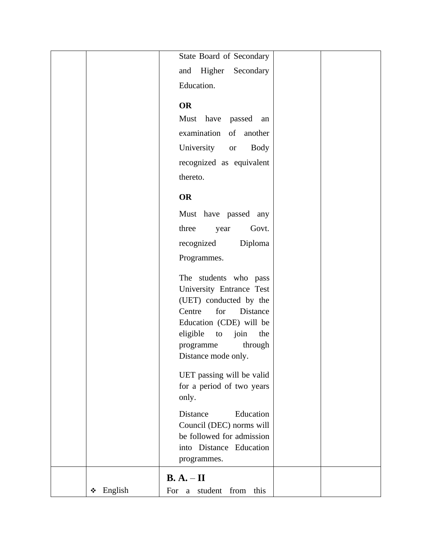|              | State Board of Secondary                                                                                                                                                                                         |  |
|--------------|------------------------------------------------------------------------------------------------------------------------------------------------------------------------------------------------------------------|--|
|              | and Higher Secondary                                                                                                                                                                                             |  |
|              | Education.                                                                                                                                                                                                       |  |
|              |                                                                                                                                                                                                                  |  |
|              | <b>OR</b>                                                                                                                                                                                                        |  |
|              | Must have passed an                                                                                                                                                                                              |  |
|              | examination of<br>another                                                                                                                                                                                        |  |
|              | University<br><b>Body</b><br><b>or</b>                                                                                                                                                                           |  |
|              | recognized as equivalent                                                                                                                                                                                         |  |
|              | thereto.                                                                                                                                                                                                         |  |
|              |                                                                                                                                                                                                                  |  |
|              | <b>OR</b>                                                                                                                                                                                                        |  |
|              | Must have passed any                                                                                                                                                                                             |  |
|              | three<br>Govt.<br>year                                                                                                                                                                                           |  |
|              | Diploma<br>recognized                                                                                                                                                                                            |  |
|              | Programmes.                                                                                                                                                                                                      |  |
|              | The students who pass<br>University Entrance Test<br>(UET) conducted by the<br>for<br>Distance<br>Centre<br>Education (CDE) will be<br>eligible<br>to join<br>the<br>through<br>programme<br>Distance mode only. |  |
|              | UET passing will be valid<br>for a period of two years<br>only.                                                                                                                                                  |  |
|              | Distance<br>Education<br>Council (DEC) norms will<br>be followed for admission<br>into Distance Education<br>programmes.                                                                                         |  |
|              | $B. A. - II$                                                                                                                                                                                                     |  |
| English<br>❖ | For a student from this                                                                                                                                                                                          |  |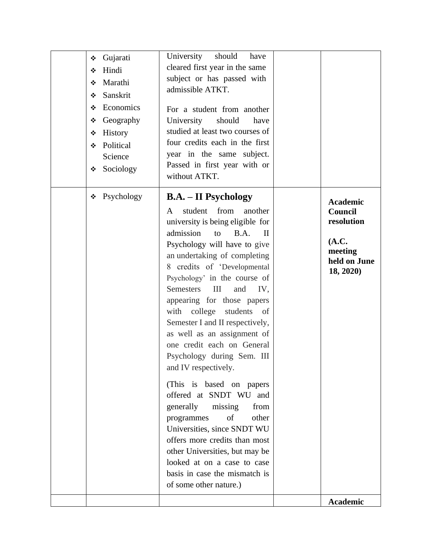| ❖<br>❖<br>❖<br>❖<br>❖<br>❖<br>❖<br>❖<br>❖ | Gujarati<br>Hindi<br>Marathi<br>Sanskrit<br>Economics<br>Geography<br>History<br>Political<br>Science<br>Sociology | University<br>should<br>have<br>cleared first year in the same<br>subject or has passed with<br>admissible ATKT.<br>For a student from another<br>University<br>should<br>have<br>studied at least two courses of<br>four credits each in the first<br>year in the same subject.<br>Passed in first year with or<br>without ATKT.                                                                                                                                                                                                                                                                                                                                                                                                                                                                                                                                     |                                                                                           |
|-------------------------------------------|--------------------------------------------------------------------------------------------------------------------|-----------------------------------------------------------------------------------------------------------------------------------------------------------------------------------------------------------------------------------------------------------------------------------------------------------------------------------------------------------------------------------------------------------------------------------------------------------------------------------------------------------------------------------------------------------------------------------------------------------------------------------------------------------------------------------------------------------------------------------------------------------------------------------------------------------------------------------------------------------------------|-------------------------------------------------------------------------------------------|
| ❖                                         | Psychology                                                                                                         | <b>B.A.</b> – <b>II</b> Psychology<br>student<br>from<br>another<br>A<br>university is being eligible for<br>admission<br>to<br>B.A.<br>$\mathbf{I}$<br>Psychology will have to give<br>an undertaking of completing<br>8 credits of 'Developmental<br>Psychology' in the course of<br><b>Semesters</b><br>III<br>and<br>IV,<br>appearing for those papers<br>college<br>with<br>students<br>of<br>Semester I and II respectively,<br>as well as an assignment of<br>one credit each on General<br>Psychology during Sem. III<br>and IV respectively.<br>(This is based on papers)<br>offered at SNDT WU and<br>missing<br>generally<br>from<br>of<br>other<br>programmes<br>Universities, since SNDT WU<br>offers more credits than most<br>other Universities, but may be<br>looked at on a case to case<br>basis in case the mismatch is<br>of some other nature.) | <b>Academic</b><br>Council<br>resolution<br>(A.C.<br>meeting<br>held on June<br>18, 2020) |
|                                           |                                                                                                                    |                                                                                                                                                                                                                                                                                                                                                                                                                                                                                                                                                                                                                                                                                                                                                                                                                                                                       | Academic                                                                                  |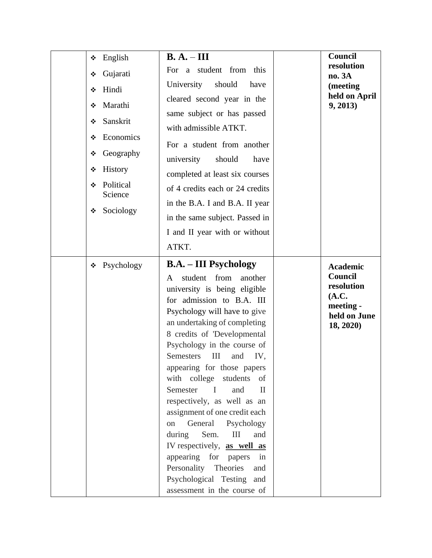| English<br>❖<br>Gujarati<br>❖<br>Hindi<br>❖<br>Marathi<br>❖                                                      | $B. A. - III$<br>For a student from this<br>University<br>should<br>have<br>cleared second year in the                                                                                                                                                                                                                                                                                                                                                                                                                                                                                                                                                                                                                                | Council<br>resolution<br>no. 3A<br>(meeting<br>held on April<br>9, 2013)                    |
|------------------------------------------------------------------------------------------------------------------|---------------------------------------------------------------------------------------------------------------------------------------------------------------------------------------------------------------------------------------------------------------------------------------------------------------------------------------------------------------------------------------------------------------------------------------------------------------------------------------------------------------------------------------------------------------------------------------------------------------------------------------------------------------------------------------------------------------------------------------|---------------------------------------------------------------------------------------------|
| Sanskrit<br>❖<br>Economics<br>❖<br>Geography<br>❖<br>History<br>❖<br>Political<br>❖<br>Science<br>Sociology<br>❖ | same subject or has passed<br>with admissible ATKT.<br>For a student from another<br>university<br>should<br>have<br>completed at least six courses<br>of 4 credits each or 24 credits<br>in the B.A. I and B.A. II year<br>in the same subject. Passed in<br>I and II year with or without                                                                                                                                                                                                                                                                                                                                                                                                                                           |                                                                                             |
| Psychology<br>❖                                                                                                  | ATKT.<br><b>B.A.</b> – <b>III</b> Psychology<br>from<br>student<br>another<br>A<br>university is being eligible<br>for admission to B.A. III<br>Psychology will have to give<br>an undertaking of completing<br>8 credits of 'Developmental<br>Psychology in the course of<br>Semesters<br>$\mathop{\rm III}$<br>and<br>IV,<br>appearing for those papers<br>with college students<br>of<br>Semester<br>$\mathbf{I}$<br>and<br>$\mathbf{I}$<br>respectively, as well as an<br>assignment of one credit each<br>General Psychology<br>on<br>Sem.<br>$\rm III$<br>during<br>and<br>IV respectively, as well as<br>appearing for papers<br>in<br>Personality Theories<br>and<br>Psychological Testing and<br>assessment in the course of | <b>Academic</b><br>Council<br>resolution<br>(A.C.<br>meeting -<br>held on June<br>18, 2020) |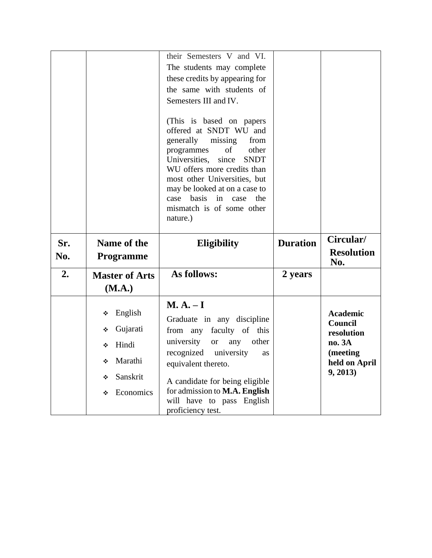|            |                                 | their Semesters V and VI.<br>The students may complete<br>these credits by appearing for<br>the same with students of<br>Semesters III and IV.<br>(This is based on papers)<br>offered at SNDT WU and<br>generally<br>missing<br>from<br>programmes<br>of<br>other<br>Universities,<br>since<br><b>SNDT</b><br>WU offers more credits than<br>most other Universities, but<br>may be looked at on a case to<br>basis<br>in<br>case<br>case<br>the.<br>mismatch is of some other<br>nature.) |                 |                                |
|------------|---------------------------------|---------------------------------------------------------------------------------------------------------------------------------------------------------------------------------------------------------------------------------------------------------------------------------------------------------------------------------------------------------------------------------------------------------------------------------------------------------------------------------------------|-----------------|--------------------------------|
| Sr.<br>No. | Name of the                     | <b>Eligibility</b>                                                                                                                                                                                                                                                                                                                                                                                                                                                                          | <b>Duration</b> | Circular/<br><b>Resolution</b> |
|            | <b>Programme</b>                |                                                                                                                                                                                                                                                                                                                                                                                                                                                                                             |                 | No.                            |
| 2.         | <b>Master of Arts</b><br>(M.A.) | As follows:                                                                                                                                                                                                                                                                                                                                                                                                                                                                                 | 2 years         |                                |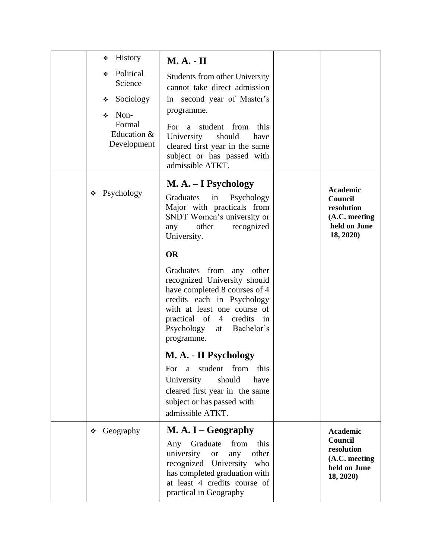| <b>History</b><br>❖<br>Political<br>❖<br>Science<br>Sociology<br>❖<br>Non-<br>❖<br>Formal<br>Education &<br>Development | $M. A. - II$<br><b>Students from other University</b><br>cannot take direct admission<br>in second year of Master's<br>programme.<br>For a student from this<br>University<br>should<br>have<br>cleared first year in the same<br>subject or has passed with<br>admissible ATKT.                                                                                                                                                                                                                                                                                                                       |                                                                                        |
|-------------------------------------------------------------------------------------------------------------------------|--------------------------------------------------------------------------------------------------------------------------------------------------------------------------------------------------------------------------------------------------------------------------------------------------------------------------------------------------------------------------------------------------------------------------------------------------------------------------------------------------------------------------------------------------------------------------------------------------------|----------------------------------------------------------------------------------------|
| Psychology<br>❖                                                                                                         | M. A. – I Psychology<br>Graduates<br>in<br>Psychology<br>Major with practicals from<br>SNDT Women's university or<br>other<br>recognized<br>any<br>University.<br><b>OR</b><br>Graduates from any other<br>recognized University should<br>have completed 8 courses of 4<br>credits each in Psychology<br>with at least one course of<br>practical of 4 credits in<br>Psychology<br>Bachelor's<br>at<br>programme.<br>M. A. - II Psychology<br>student<br>from<br>this<br>For<br>a<br>University<br>should<br>have<br>cleared first year in the same<br>subject or has passed with<br>admissible ATKT. | <b>Academic</b><br>Council<br>resolution<br>(A.C. meeting<br>held on June<br>18, 2020) |
| Geography<br>❖                                                                                                          | $M. A. I - Geography$<br>Any Graduate<br>from<br>this<br>university<br>other<br><b>or</b><br>any<br>recognized University who<br>has completed graduation with<br>at least 4 credits course of<br>practical in Geography                                                                                                                                                                                                                                                                                                                                                                               | <b>Academic</b><br>Council<br>resolution<br>(A.C. meeting<br>held on June<br>18, 2020) |